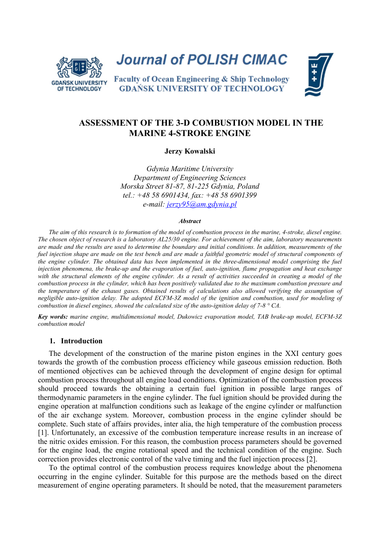

**Journal of POLISH CIMAC** 



Faculty of Ocean Engineering & Ship Technology **GDAŃSK UNIVERSITY OF TECHNOLOGY** 

# **ASSESSMENT OF THE 3-D COMBUSTION MODEL IN THE MARINE 4-STROKE ENGINE**

**Jerzy Kowalski**

*Gdynia Maritime University Department of Engineering Sciences Morska Street 81-87, 81-225 Gdynia, Poland tel.: +48 58 6901434, fax: +48 58 6901399 e-mail: jerzy95@am.gdynia.pl*

#### *Abstract*

*The aim of this research is to formation of the model of combustion process in the marine, 4-stroke, diesel engine. The chosen object of research is a laboratory AL25/30 engine. For achievement of the aim, laboratory measurements are made and the results are used to determine the boundary and initial conditions. In addition, measurements of the fuel injection shape are made on the test bench and are made a faithful geometric model of structural components of the engine cylinder. The obtained data has been implemented in the three-dimensional model comprising the fuel injection phenomena, the brake-up and the evaporation of fuel, auto-ignition, flame propagation and heat exchange with the structural elements of the engine cylinder. As a result of activities succeeded in creating a model of the combustion process in the cylinder, which has been positively validated due to the maximum combustion pressure and*  the temperature of the exhaust gases. Obtained results of calculations also allowed verifying the assumption of *negligible auto-ignition delay. The adopted ECFM-3Z model of the ignition and combustion, used for modeling of combustion in diesel engines, showed the calculated size of the auto-ignition delay of 7-8 ° CA.*

*Key words: marine engine, multidimensional model, Dukowicz evaporation model, TAB brake-up model, ECFM-3Z combustion model*

## **1. Introduction**

The development of the construction of the marine piston engines in the XXI century goes towards the growth of the combustion process efficiency while gaseous emission reduction. Both of mentioned objectives can be achieved through the development of engine design for optimal combustion process throughout all engine load conditions. Optimization of the combustion process should proceed towards the obtaining a certain fuel ignition in possible large ranges of thermodynamic parameters in the engine cylinder. The fuel ignition should be provided during the engine operation at malfunction conditions such as leakage of the engine cylinder or malfunction of the air exchange system. Moreover, combustion process in the engine cylinder should be complete. Such state of affairs provides, inter alia, the high temperature of the combustion process [\[1\].](#page-7-0) Unfortunately, an excessive of the combustion temperature increase results in an increase of the nitric oxides emission. For this reason, the combustion process parameters should be governed for the engine load, the engine rotational speed and the technical condition of the engine. Such correction provides electronic control of the valve timing and the fuel injection process [\[2\].](#page-7-1)

To the optimal control of the combustion process requires knowledge about the phenomena occurring in the engine cylinder. Suitable for this purpose are the methods based on the direct measurement of engine operating parameters. It should be noted, that the measurement parameters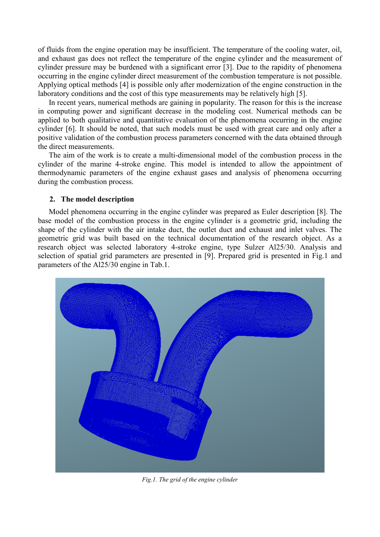of fluids from the engine operation may be insufficient. The temperature of the cooling water, oil, and exhaust gas does not reflect the temperature of the engine cylinder and the measurement of cylinder pressure may be burdened with a significant error [\[3\].](#page-7-2) Due to the rapidity of phenomena occurring in the engine cylinder direct measurement of the combustion temperature is not possible. Applying optical methods [\[4\]](#page-7-3) is possible only after modernization of the engine construction in the laboratory conditions and the cost of this type measurements may be relatively high [\[5\].](#page-7-4)

In recent years, numerical methods are gaining in popularity. The reason for this is the increase in computing power and significant decrease in the modeling cost. Numerical methods can be applied to both qualitative and quantitative evaluation of the phenomena occurring in the engine cylinder [\[6\].](#page-7-5) It should be noted, that such models must be used with great care and only after a positive validation of the combustion process parameters concerned with the data obtained through the direct measurements.

The aim of the work is to create a multi-dimensional model of the combustion process in the cylinder of the marine 4-stroke engine. This model is intended to allow the appointment of thermodynamic parameters of the engine exhaust gases and analysis of phenomena occurring during the combustion process.

# **2. The model description**

Model phenomena occurring in the engine cylinder was prepared as Euler description [\[8\].](#page-7-6) The base model of the combustion process in the engine cylinder is a geometric grid, including the shape of the cylinder with the air intake duct, the outlet duct and exhaust and inlet valves. The geometric grid was built based on the technical documentation of the research object. As a research object was selected laboratory 4-stroke engine, type Sulzer Al25/30. Analysis and selection of spatial grid parameters are presented in [\[9\].](#page-7-7) Prepared grid is presented in Fig.1 and parameters of the Al25/30 engine in Tab.1.



*Fig.1. The grid of the engine cylinder*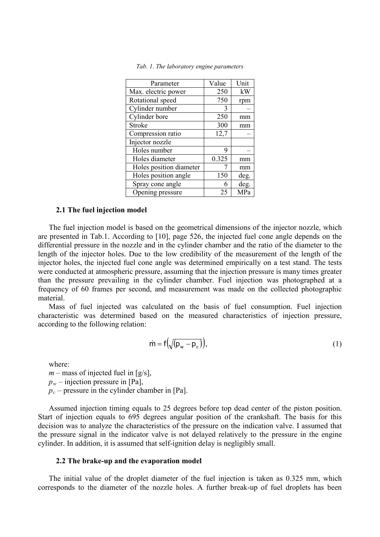| Parameter               | Value | Unit |
|-------------------------|-------|------|
| Max. electric power     | 250   | kW   |
| Rotational speed        | 750   | rpm  |
| Cylinder number         | 3     |      |
| Cylinder bore           | 250   | mm   |
| Stroke                  | 300   | mm   |
| Compression ratio       | 12,7  |      |
| Injector nozzle         |       |      |
| Holes number            | 9     |      |
| Holes diameter          | 0.325 | mm   |
| Holes position diameter |       | mm   |
| Holes position angle    | 150   | deg. |
| Spray cone angle        | 6     | deg. |
| Opening pressure        | 25    | MPa  |

*Tab. 1. The laboratory engine parameters*

#### **2.1 The fuel injection model**

The fuel injection model is based on the geometrical dimensions of the injector nozzle, which are presented in Tab.1. According to [\[10\],](#page-7-8) page 526, the injected fuel cone angle depends on the differential pressure in the nozzle and in the cylinder chamber and the ratio of the diameter to the length of the injector holes. Due to the low credibility of the measurement of the length of the injector holes, the injected fuel cone angle was determined empirically on a test stand. The tests were conducted at atmospheric pressure, assuming that the injection pressure is many times greater than the pressure prevailing in the cylinder chamber. Fuel injection was photographed at a frequency of 60 frames per second, and measurement was made on the collected photographic material.

Mass of fuel injected was calculated on the basis of fuel consumption. Fuel injection characteristic was determined based on the measured characteristics of injection pressure, according to the following relation:

$$
\dot{\mathsf{m}} = \mathsf{f}\big(\sqrt{(\mathsf{p}_{\mathsf{w}} - \mathsf{p}_{\mathsf{c}})}\big),\tag{1}
$$

where:

 $m$  – mass of injected fuel in [g/s],

 $p_w$  – injection pressure in [Pa],

 $p_c$  – pressure in the cylinder chamber in [Pa].

Assumed injection timing equals to 25 degrees before top dead center of the piston position. Start of injection equals to 695 degrees angular position of the crankshaft. The basis for this decision was to analyze the characteristics of the pressure on the indication valve. I assumed that the pressure signal in the indicator valve is not delayed relatively to the pressure in the engine cylinder. In addition, it is assumed that self-ignition delay is negligibly small.

#### **2.2 The brake-up and the evaporation model**

The initial value of the droplet diameter of the fuel injection is taken as 0.325 mm, which corresponds to the diameter of the nozzle holes. A further break-up of fuel droplets has been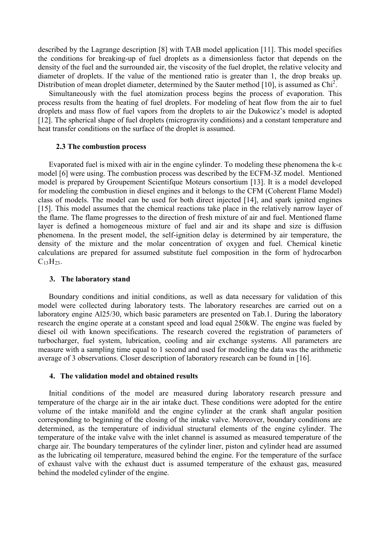described by the Lagrange description [\[8\]](#page-7-6) with TAB model application [\[11\].](#page-7-9) This model specifies the conditions for breaking-up of fuel droplets as a dimensionless factor that depends on the density of the fuel and the surrounded air, the viscosity of the fuel droplet, the relative velocity and diameter of droplets. If the value of the mentioned ratio is greater than 1, the drop breaks up. Distribution of mean droplet diameter, determined by the Sauter method [\[10\],](#page-7-8) is assumed as Chi<sup>2</sup>.

Simultaneously with the fuel atomization process begins the process of evaporation. This process results from the heating of fuel droplets. For modeling of heat flow from the air to fuel droplets and mass flow of fuel vapors from the droplets to air the Dukowicz's model is adopted [\[12\].](#page-7-10) The spherical shape of fuel droplets (microgravity conditions) and a constant temperature and heat transfer conditions on the surface of the droplet is assumed.

#### **2.3 The combustion process**

Evaporated fuel is mixed with air in the engine cylinder. To modeling these phenomena the k-ε model [\[6\]](#page-7-5) were using. The combustion process was described by the ECFM-3Z model. Mentioned model is prepared by Groupement Scientifque Moteurs consortium [\[13\].](#page-7-11) It is a model developed for modeling the combustion in diesel engines and it belongs to the CFM (Coherent Flame Model) class of models. The model can be used for both direct injected [\[14\],](#page-7-12) and spark ignited engines [\[15\].](#page-7-13) This model assumes that the chemical reactions take place in the relatively narrow layer of the flame. The flame progresses to the direction of fresh mixture of air and fuel. Mentioned flame layer is defined a homogeneous mixture of fuel and air and its shape and size is diffusion phenomena. In the present model, the self-ignition delay is determined by air temperature, the density of the mixture and the molar concentration of oxygen and fuel. Chemical kinetic calculations are prepared for assumed substitute fuel composition in the form of hydrocarbon  $C_{13}H_{23}$ .

#### **3. The laboratory stand**

Boundary conditions and initial conditions, as well as data necessary for validation of this model were collected during laboratory tests. The laboratory researches are carried out on a laboratory engine Al25/30, which basic parameters are presented on Tab.1. During the laboratory research the engine operate at a constant speed and load equal 250kW. The engine was fueled by diesel oil with known specifications. The research covered the registration of parameters of turbocharger, fuel system, lubrication, cooling and air exchange systems. All parameters are measure with a sampling time equal to 1 second and used for modeling the data was the arithmetic average of 3 observations. Closer description of laboratory research can be found in [\[16\].](#page-7-14)

#### **4. The validation model and obtained results**

Initial conditions of the model are measured during laboratory research pressure and temperature of the charge air in the air intake duct. These conditions were adopted for the entire volume of the intake manifold and the engine cylinder at the crank shaft angular position corresponding to beginning of the closing of the intake valve. Moreover, boundary conditions are determined, as the temperature of individual structural elements of the engine cylinder. The temperature of the intake valve with the inlet channel is assumed as measured temperature of the charge air. The boundary temperatures of the cylinder liner, piston and cylinder head are assumed as the lubricating oil temperature, measured behind the engine. For the temperature of the surface of exhaust valve with the exhaust duct is assumed temperature of the exhaust gas, measured behind the modeled cylinder of the engine.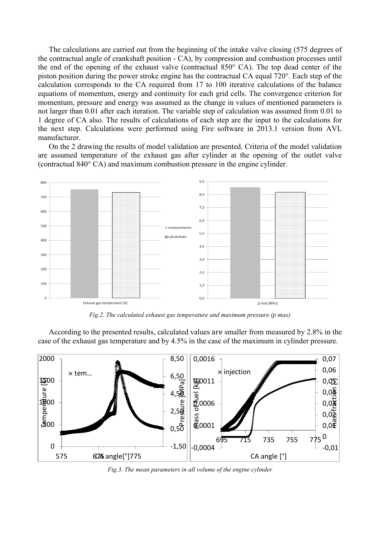The calculations are carried out from the beginning of the intake valve closing (575 degrees of the contractual angle of crankshaft position - CA), by compression and combustion processes until the end of the opening of the exhaust valve (contractual 850° CA). The top dead center of the piston position during the power stroke engine has the contractual CA equal 720°. Each step of the calculation corresponds to the CA required from 17 to 100 iterative calculations of the balance equations of momentum, energy and continuity for each grid cells. The convergence criterion for momentum, pressure and energy was assumed as the change in values of mentioned parameters is not larger than 0.01 after each iteration. The variable step of calculation was assumed from 0.01 to 1 degree of CA also. The results of calculations of each step are the input to the calculations for the next step. Calculations were performed using Fire software in 2013.1 version from AVL manufacturer.

On the 2 drawing the results of model validation are presented. Criteria of the model validation are assumed temperature of the exhaust gas after cylinder at the opening of the outlet valve (contractual 840° CA) and maximum combustion pressure in the engine cylinder.



*Fig.2. The calculated exhaust gas temperature and maximum pressure (p max)*

According to the presented results, calculated values are smaller from measured by 2.8% in the case of the exhaust gas temperature and by 4.5% in the case of the maximum in cylinder pressure.



*Fig.3. The mean parameters in all volume of the engine cylinder*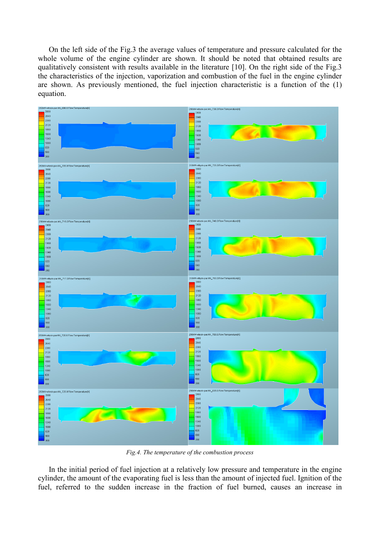On the left side of the Fig.3 the average values of temperature and pressure calculated for the whole volume of the engine cylinder are shown. It should be noted that obtained results are qualitatively consistent with results available in the literature [\[10\].](#page-7-8) On the right side of the Fig.3 the characteristics of the injection, vaporization and combustion of the fuel in the engine cylinder are shown. As previously mentioned, the fuel injection characteristic is a function of the (1) equation.



*Fig.4. The temperature of the combustion process*

In the initial period of fuel injection at a relatively low pressure and temperature in the engine cylinder, the amount of the evaporating fuel is less than the amount of injected fuel. Ignition of the fuel, referred to the sudden increase in the fraction of fuel burned, causes an increase in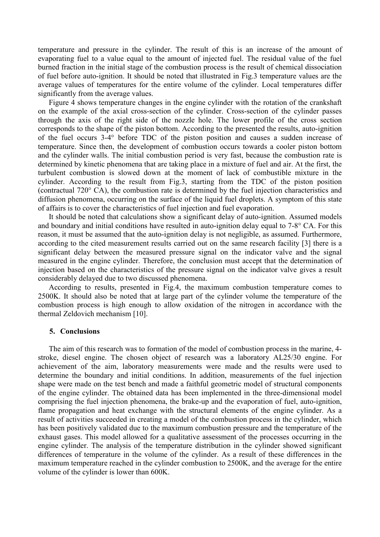temperature and pressure in the cylinder. The result of this is an increase of the amount of evaporating fuel to a value equal to the amount of injected fuel. The residual value of the fuel burned fraction in the initial stage of the combustion process is the result of chemical dissociation of fuel before auto-ignition. It should be noted that illustrated in Fig.3 temperature values are the average values of temperatures for the entire volume of the cylinder. Local temperatures differ significantly from the average values.

Figure 4 shows temperature changes in the engine cylinder with the rotation of the crankshaft on the example of the axial cross-section of the cylinder. Cross-section of the cylinder passes through the axis of the right side of the nozzle hole. The lower profile of the cross section corresponds to the shape of the piston bottom. According to the presented the results, auto-ignition of the fuel occurs 3-4° before TDC of the piston position and causes a sudden increase of temperature. Since then, the development of combustion occurs towards a cooler piston bottom and the cylinder walls. The initial combustion period is very fast, because the combustion rate is determined by kinetic phenomena that are taking place in a mixture of fuel and air. At the first, the turbulent combustion is slowed down at the moment of lack of combustible mixture in the cylinder. According to the result from Fig.3, starting from the TDC of the piston position (contractual 720° CA), the combustion rate is determined by the fuel injection characteristics and diffusion phenomena, occurring on the surface of the liquid fuel droplets. A symptom of this state of affairs is to cover the characteristics of fuel injection and fuel evaporation.

It should be noted that calculations show a significant delay of auto-ignition. Assumed models and boundary and initial conditions have resulted in auto-ignition delay equal to 7-8° CA. For this reason, it must be assumed that the auto-ignition delay is not negligible, as assumed. Furthermore, according to the cited measurement results carried out on the same research facility [\[3\]](#page-7-2) there is a significant delay between the measured pressure signal on the indicator valve and the signal measured in the engine cylinder. Therefore, the conclusion must accept that the determination of injection based on the characteristics of the pressure signal on the indicator valve gives a result considerably delayed due to two discussed phenomena.

According to results, presented in Fig.4, the maximum combustion temperature comes to 2500K. It should also be noted that at large part of the cylinder volume the temperature of the combustion process is high enough to allow oxidation of the nitrogen in accordance with the thermal Zeldovich mechanism [\[10\].](#page-7-8)

#### **5. Conclusions**

The aim of this research was to formation of the model of combustion process in the marine, 4 stroke, diesel engine. The chosen object of research was a laboratory AL25/30 engine. For achievement of the aim, laboratory measurements were made and the results were used to determine the boundary and initial conditions. In addition, measurements of the fuel injection shape were made on the test bench and made a faithful geometric model of structural components of the engine cylinder. The obtained data has been implemented in the three-dimensional model comprising the fuel injection phenomena, the brake-up and the evaporation of fuel, auto-ignition, flame propagation and heat exchange with the structural elements of the engine cylinder. As a result of activities succeeded in creating a model of the combustion process in the cylinder, which has been positively validated due to the maximum combustion pressure and the temperature of the exhaust gases. This model allowed for a qualitative assessment of the processes occurring in the engine cylinder. The analysis of the temperature distribution in the cylinder showed significant differences of temperature in the volume of the cylinder. As a result of these differences in the maximum temperature reached in the cylinder combustion to 2500K, and the average for the entire volume of the cylinder is lower than 600K.